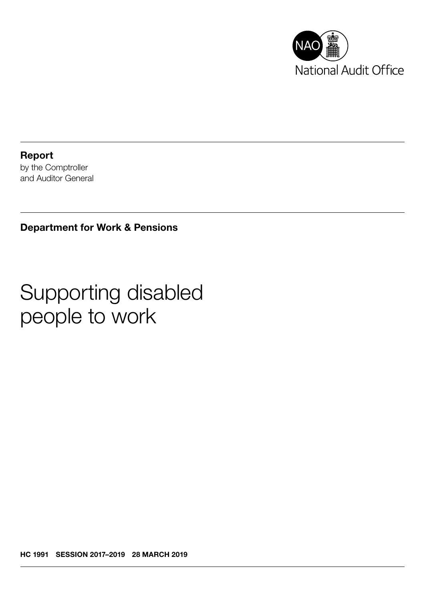

Report by the Comptroller and Auditor General

Department for Work & Pensions

# Supporting disabled people to work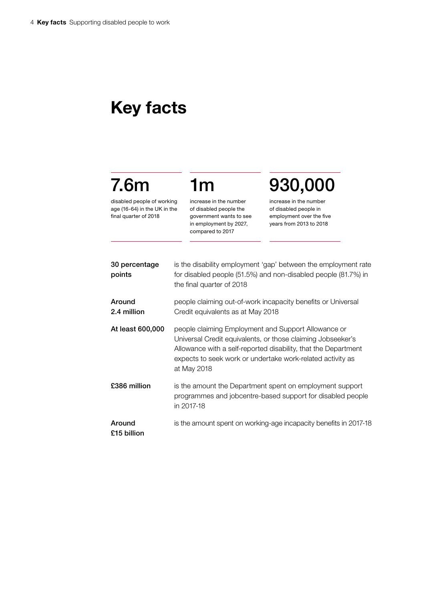## Key facts

## 7.6m

disabled people of working age (16-64) in the UK in the final quarter of 2018

increase in the number of disabled people the government wants to see in employment by 2027, compared to 2017

1m

930,000

increase in the number of disabled people in employment over the five years from 2013 to 2018

| 30 percentage<br>points | is the disability employment 'gap' between the employment rate<br>for disabled people (51.5%) and non-disabled people (81.7%) in<br>the final quarter of 2018                                                                                                     |
|-------------------------|-------------------------------------------------------------------------------------------------------------------------------------------------------------------------------------------------------------------------------------------------------------------|
| Around<br>2.4 million   | people claiming out-of-work incapacity benefits or Universal<br>Credit equivalents as at May 2018                                                                                                                                                                 |
| At least 600,000        | people claiming Employment and Support Allowance or<br>Universal Credit equivalents, or those claiming Jobseeker's<br>Allowance with a self-reported disability, that the Department<br>expects to seek work or undertake work-related activity as<br>at May 2018 |
| £386 million            | is the amount the Department spent on employment support<br>programmes and jobcentre-based support for disabled people<br>in 2017-18                                                                                                                              |
| Around<br>£15 billion   | is the amount spent on working-age incapacity benefits in 2017-18                                                                                                                                                                                                 |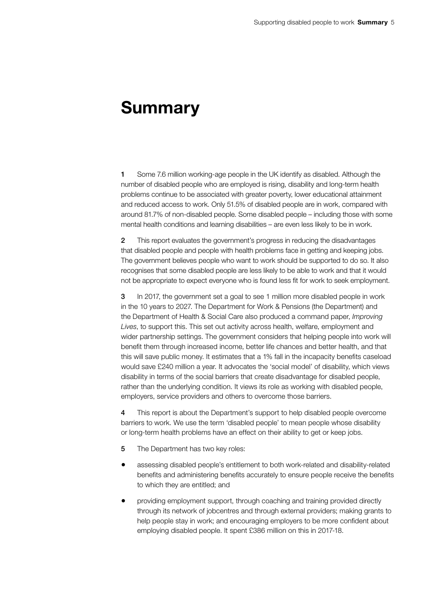### Summary

1 Some 7.6 million working-age people in the UK identify as disabled. Although the number of disabled people who are employed is rising, disability and long-term health problems continue to be associated with greater poverty, lower educational attainment and reduced access to work. Only 51.5% of disabled people are in work, compared with around 81.7% of non-disabled people. Some disabled people – including those with some mental health conditions and learning disabilities – are even less likely to be in work.

2 This report evaluates the government's progress in reducing the disadvantages that disabled people and people with health problems face in getting and keeping jobs. The government believes people who want to work should be supported to do so. It also recognises that some disabled people are less likely to be able to work and that it would not be appropriate to expect everyone who is found less fit for work to seek employment.

3 In 2017, the government set a goal to see 1 million more disabled people in work in the 10 years to 2027. The Department for Work & Pensions (the Department) and the Department of Health & Social Care also produced a command paper, *Improving Lives*, to support this. This set out activity across health, welfare, employment and wider partnership settings. The government considers that helping people into work will benefit them through increased income, better life chances and better health, and that this will save public money. It estimates that a 1% fall in the incapacity benefits caseload would save £240 million a year. It advocates the 'social model' of disability, which views disability in terms of the social barriers that create disadvantage for disabled people, rather than the underlying condition. It views its role as working with disabled people, employers, service providers and others to overcome those barriers.

4 This report is about the Department's support to help disabled people overcome barriers to work. We use the term 'disabled people' to mean people whose disability or long-term health problems have an effect on their ability to get or keep jobs.

- 5 The Department has two key roles:
- assessing disabled people's entitlement to both work-related and disability-related benefits and administering benefits accurately to ensure people receive the benefits to which they are entitled; and
- providing employment support, through coaching and training provided directly through its network of jobcentres and through external providers; making grants to help people stay in work; and encouraging employers to be more confident about employing disabled people. It spent £386 million on this in 2017-18.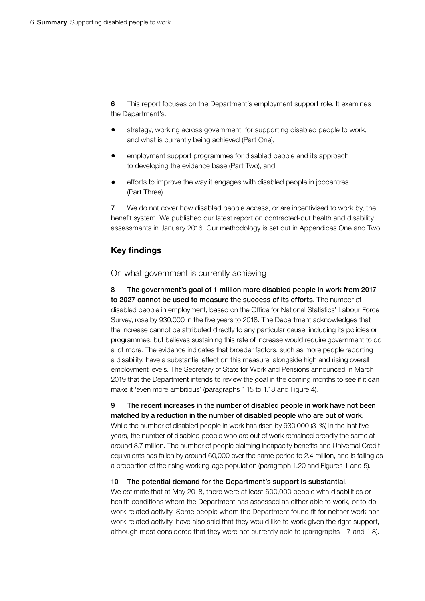6 This report focuses on the Department's employment support role. It examines the Department's:

- strategy, working across government, for supporting disabled people to work, and what is currently being achieved (Part One);
- employment support programmes for disabled people and its approach to developing the evidence base (Part Two); and
- efforts to improve the way it engages with disabled people in jobcentres (Part Three).

7 We do not cover how disabled people access, or are incentivised to work by, the benefit system. We published our latest report on contracted-out health and disability assessments in January 2016. Our methodology is set out in Appendices One and Two.

#### Key findings

#### On what government is currently achieving

8 The government's goal of 1 million more disabled people in work from 2017 to 2027 cannot be used to measure the success of its efforts. The number of disabled people in employment, based on the Office for National Statistics' Labour Force Survey, rose by 930,000 in the five years to 2018. The Department acknowledges that the increase cannot be attributed directly to any particular cause, including its policies or programmes, but believes sustaining this rate of increase would require government to do a lot more. The evidence indicates that broader factors, such as more people reporting a disability, have a substantial effect on this measure, alongside high and rising overall employment levels. The Secretary of State for Work and Pensions announced in March 2019 that the Department intends to review the goal in the coming months to see if it can make it 'even more ambitious' (paragraphs 1.15 to 1.18 and Figure 4).

9 The recent increases in the number of disabled people in work have not been matched by a reduction in the number of disabled people who are out of work. While the number of disabled people in work has risen by 930,000 (31%) in the last five years, the number of disabled people who are out of work remained broadly the same at around 3.7 million. The number of people claiming incapacity benefits and Universal Credit equivalents has fallen by around 60,000 over the same period to 2.4 million, and is falling as a proportion of the rising working-age population (paragraph 1.20 and Figures 1 and 5).

#### 10 The potential demand for the Department's support is substantial.

We estimate that at May 2018, there were at least 600,000 people with disabilities or health conditions whom the Department has assessed as either able to work, or to do work-related activity. Some people whom the Department found fit for neither work nor work-related activity, have also said that they would like to work given the right support, although most considered that they were not currently able to (paragraphs 1.7 and 1.8).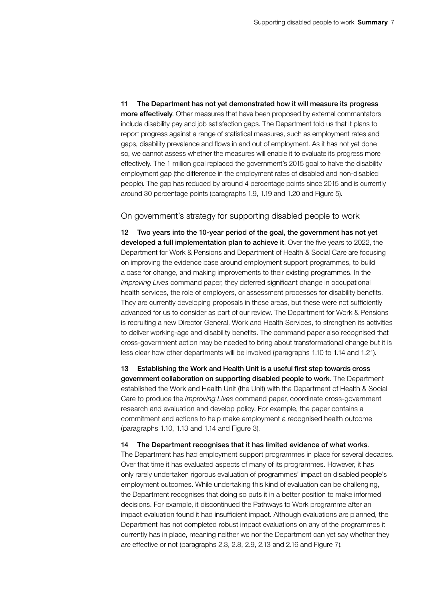11 The Department has not yet demonstrated how it will measure its progress more effectively. Other measures that have been proposed by external commentators include disability pay and job satisfaction gaps. The Department told us that it plans to report progress against a range of statistical measures, such as employment rates and gaps, disability prevalence and flows in and out of employment. As it has not yet done so, we cannot assess whether the measures will enable it to evaluate its progress more effectively. The 1 million goal replaced the government's 2015 goal to halve the disability employment gap (the difference in the employment rates of disabled and non-disabled people). The gap has reduced by around 4 percentage points since 2015 and is currently around 30 percentage points (paragraphs 1.9, 1.19 and 1.20 and Figure 5).

#### On government's strategy for supporting disabled people to work

12 Two years into the 10-year period of the goal, the government has not yet developed a full implementation plan to achieve it. Over the five years to 2022, the Department for Work & Pensions and Department of Health & Social Care are focusing on improving the evidence base around employment support programmes, to build a case for change, and making improvements to their existing programmes. In the *Improving Lives* command paper, they deferred significant change in occupational health services, the role of employers, or assessment processes for disability benefits. They are currently developing proposals in these areas, but these were not sufficiently advanced for us to consider as part of our review. The Department for Work & Pensions is recruiting a new Director General, Work and Health Services, to strengthen its activities to deliver working-age and disability benefits. The command paper also recognised that cross-government action may be needed to bring about transformational change but it is less clear how other departments will be involved (paragraphs 1.10 to 1.14 and 1.21).

13 Establishing the Work and Health Unit is a useful first step towards cross government collaboration on supporting disabled people to work. The Department established the Work and Health Unit (the Unit) with the Department of Health & Social Care to produce the *Improving Lives* command paper, coordinate cross-government research and evaluation and develop policy. For example, the paper contains a commitment and actions to help make employment a recognised health outcome (paragraphs 1.10, 1.13 and 1.14 and Figure 3).

#### 14 The Department recognises that it has limited evidence of what works.

The Department has had employment support programmes in place for several decades. Over that time it has evaluated aspects of many of its programmes. However, it has only rarely undertaken rigorous evaluation of programmes' impact on disabled people's employment outcomes. While undertaking this kind of evaluation can be challenging, the Department recognises that doing so puts it in a better position to make informed decisions. For example, it discontinued the Pathways to Work programme after an impact evaluation found it had insufficient impact. Although evaluations are planned, the Department has not completed robust impact evaluations on any of the programmes it currently has in place, meaning neither we nor the Department can yet say whether they are effective or not (paragraphs 2.3, 2.8, 2.9, 2.13 and 2.16 and Figure 7).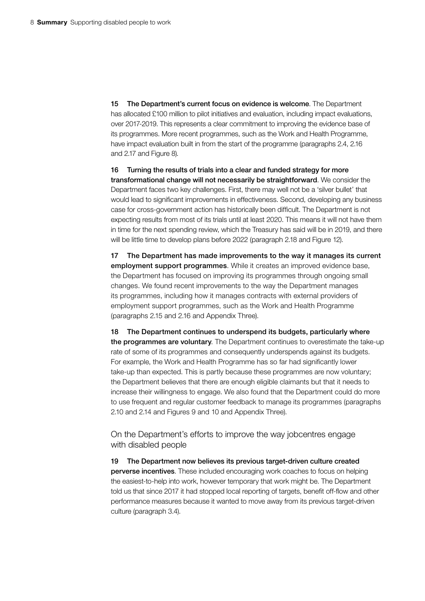15 The Department's current focus on evidence is welcome. The Department has allocated £100 million to pilot initiatives and evaluation, including impact evaluations, over 2017-2019. This represents a clear commitment to improving the evidence base of its programmes. More recent programmes, such as the Work and Health Programme, have impact evaluation built in from the start of the programme (paragraphs 2.4, 2.16 and 2.17 and Figure 8).

16 Turning the results of trials into a clear and funded strategy for more transformational change will not necessarily be straightforward. We consider the Department faces two key challenges. First, there may well not be a 'silver bullet' that would lead to significant improvements in effectiveness. Second, developing any business case for cross-government action has historically been difficult. The Department is not expecting results from most of its trials until at least 2020. This means it will not have them in time for the next spending review, which the Treasury has said will be in 2019, and there will be little time to develop plans before 2022 (paragraph 2.18 and Figure 12).

17 The Department has made improvements to the way it manages its current employment support programmes. While it creates an improved evidence base, the Department has focused on improving its programmes through ongoing small changes. We found recent improvements to the way the Department manages its programmes, including how it manages contracts with external providers of employment support programmes, such as the Work and Health Programme (paragraphs 2.15 and 2.16 and Appendix Three).

18 The Department continues to underspend its budgets, particularly where the programmes are voluntary. The Department continues to overestimate the take-up rate of some of its programmes and consequently underspends against its budgets. For example, the Work and Health Programme has so far had significantly lower take-up than expected. This is partly because these programmes are now voluntary; the Department believes that there are enough eligible claimants but that it needs to increase their willingness to engage. We also found that the Department could do more to use frequent and regular customer feedback to manage its programmes (paragraphs 2.10 and 2.14 and Figures 9 and 10 and Appendix Three).

On the Department's efforts to improve the way jobcentres engage with disabled people

19 The Department now believes its previous target-driven culture created perverse incentives. These included encouraging work coaches to focus on helping the easiest-to-help into work, however temporary that work might be. The Department told us that since 2017 it had stopped local reporting of targets, benefit off-flow and other performance measures because it wanted to move away from its previous target-driven culture (paragraph 3.4).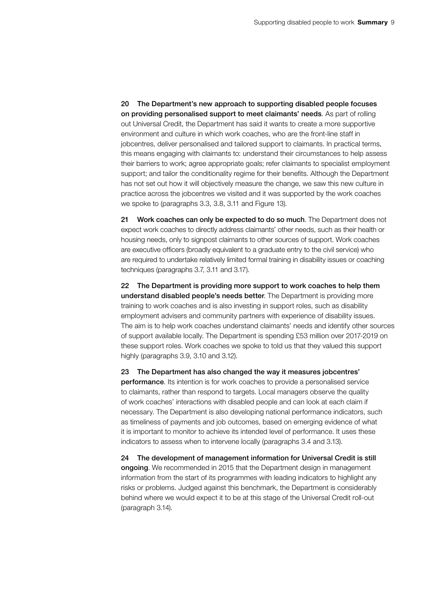20 The Department's new approach to supporting disabled people focuses on providing personalised support to meet claimants' needs. As part of rolling out Universal Credit, the Department has said it wants to create a more supportive environment and culture in which work coaches, who are the front-line staff in jobcentres, deliver personalised and tailored support to claimants. In practical terms, this means engaging with claimants to: understand their circumstances to help assess their barriers to work; agree appropriate goals; refer claimants to specialist employment support; and tailor the conditionality regime for their benefits. Although the Department has not set out how it will objectively measure the change, we saw this new culture in practice across the jobcentres we visited and it was supported by the work coaches we spoke to (paragraphs 3.3, 3.8, 3.11 and Figure 13).

21 Work coaches can only be expected to do so much. The Department does not expect work coaches to directly address claimants' other needs, such as their health or housing needs, only to signpost claimants to other sources of support. Work coaches are executive officers (broadly equivalent to a graduate entry to the civil service) who are required to undertake relatively limited formal training in disability issues or coaching techniques (paragraphs 3.7, 3.11 and 3.17).

22 The Department is providing more support to work coaches to help them understand disabled people's needs better. The Department is providing more training to work coaches and is also investing in support roles, such as disability employment advisers and community partners with experience of disability issues. The aim is to help work coaches understand claimants' needs and identify other sources of support available locally. The Department is spending £53 million over 2017-2019 on these support roles. Work coaches we spoke to told us that they valued this support highly (paragraphs 3.9, 3.10 and 3.12).

23 The Department has also changed the way it measures jobcentres' performance. Its intention is for work coaches to provide a personalised service to claimants, rather than respond to targets. Local managers observe the quality of work coaches' interactions with disabled people and can look at each claim if necessary. The Department is also developing national performance indicators, such as timeliness of payments and job outcomes, based on emerging evidence of what it is important to monitor to achieve its intended level of performance. It uses these indicators to assess when to intervene locally (paragraphs 3.4 and 3.13).

24 The development of management information for Universal Credit is still ongoing. We recommended in 2015 that the Department design in management information from the start of its programmes with leading indicators to highlight any risks or problems. Judged against this benchmark, the Department is considerably behind where we would expect it to be at this stage of the Universal Credit roll-out (paragraph 3.14).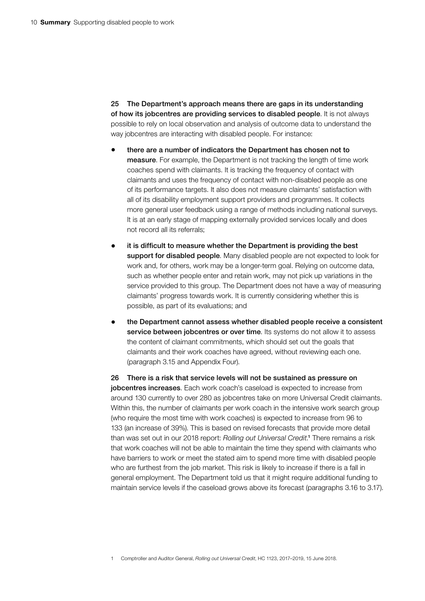25 The Department's approach means there are gaps in its understanding of how its jobcentres are providing services to disabled people. It is not always possible to rely on local observation and analysis of outcome data to understand the way jobcentres are interacting with disabled people. For instance:

- there are a number of indicators the Department has chosen not to measure. For example, the Department is not tracking the length of time work coaches spend with claimants. It is tracking the frequency of contact with claimants and uses the frequency of contact with non-disabled people as one of its performance targets. It also does not measure claimants' satisfaction with all of its disability employment support providers and programmes. It collects more general user feedback using a range of methods including national surveys. It is at an early stage of mapping externally provided services locally and does not record all its referrals;
- it is difficult to measure whether the Department is providing the best support for disabled people. Many disabled people are not expected to look for work and, for others, work may be a longer-term goal. Relying on outcome data, such as whether people enter and retain work, may not pick up variations in the service provided to this group. The Department does not have a way of measuring claimants' progress towards work. It is currently considering whether this is possible, as part of its evaluations; and
- the Department cannot assess whether disabled people receive a consistent service between jobcentres or over time. Its systems do not allow it to assess the content of claimant commitments, which should set out the goals that claimants and their work coaches have agreed, without reviewing each one. (paragraph 3.15 and Appendix Four).

26 There is a risk that service levels will not be sustained as pressure on jobcentres increases. Each work coach's caseload is expected to increase from around 130 currently to over 280 as jobcentres take on more Universal Credit claimants. Within this, the number of claimants per work coach in the intensive work search group (who require the most time with work coaches) is expected to increase from 96 to 133 (an increase of 39%). This is based on revised forecasts that provide more detail than was set out in our 2018 report: *Rolling out Universal Credit*. 1 There remains a risk that work coaches will not be able to maintain the time they spend with claimants who have barriers to work or meet the stated aim to spend more time with disabled people who are furthest from the job market. This risk is likely to increase if there is a fall in general employment. The Department told us that it might require additional funding to maintain service levels if the caseload grows above its forecast (paragraphs 3.16 to 3.17).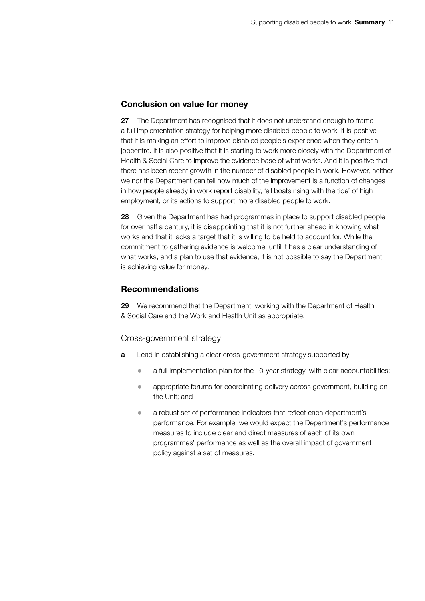#### Conclusion on value for money

27 The Department has recognised that it does not understand enough to frame a full implementation strategy for helping more disabled people to work. It is positive that it is making an effort to improve disabled people's experience when they enter a jobcentre. It is also positive that it is starting to work more closely with the Department of Health & Social Care to improve the evidence base of what works. And it is positive that there has been recent growth in the number of disabled people in work. However, neither we nor the Department can tell how much of the improvement is a function of changes in how people already in work report disability, 'all boats rising with the tide' of high employment, or its actions to support more disabled people to work.

28 Given the Department has had programmes in place to support disabled people for over half a century, it is disappointing that it is not further ahead in knowing what works and that it lacks a target that it is willing to be held to account for. While the commitment to gathering evidence is welcome, until it has a clear understanding of what works, and a plan to use that evidence, it is not possible to say the Department is achieving value for money.

#### Recommendations

29 We recommend that the Department, working with the Department of Health & Social Care and the Work and Health Unit as appropriate:

#### Cross-government strategy

- a Lead in establishing a clear cross-government strategy supported by:
	- a full implementation plan for the 10-year strategy, with clear accountabilities;
	- appropriate forums for coordinating delivery across government, building on the Unit; and
	- a robust set of performance indicators that reflect each department's performance. For example, we would expect the Department's performance measures to include clear and direct measures of each of its own programmes' performance as well as the overall impact of government policy against a set of measures.